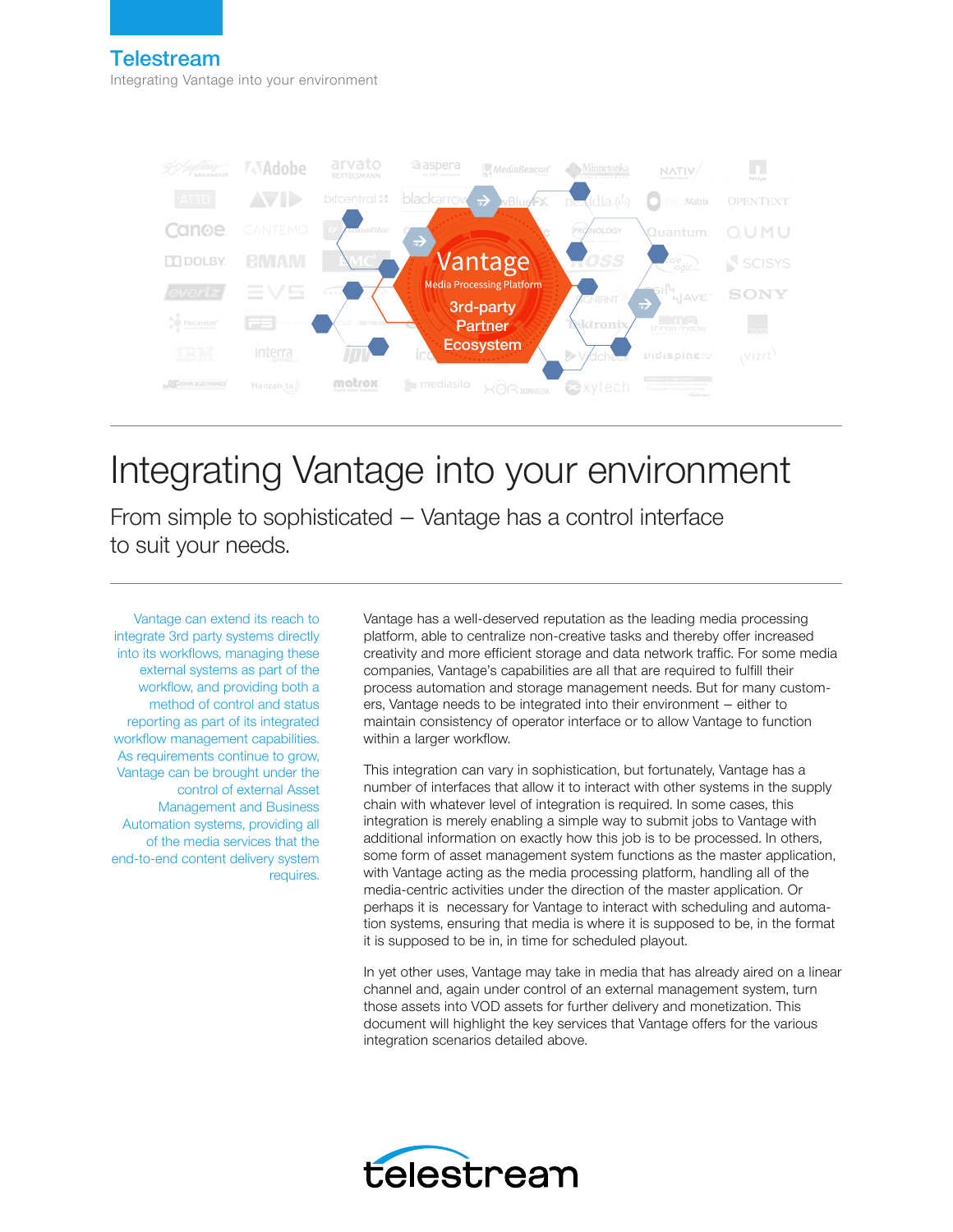



# Integrating Vantage into your environment

From simple to sophisticated – Vantage has a control interface to suit your needs.

Vantage can extend its reach to integrate 3rd party systems directly into its workflows, managing these external systems as part of the workflow, and providing both a method of control and status reporting as part of its integrated workflow management capabilities. As requirements continue to grow, Vantage can be brought under the control of external Asset Management and Business Automation systems, providing all of the media services that the end-to-end content delivery system requires.

Vantage has a well-deserved reputation as the leading media processing platform, able to centralize non-creative tasks and thereby offer increased creativity and more efficient storage and data network traffic. For some media companies, Vantage's capabilities are all that are required to fulfill their process automation and storage management needs. But for many customers, Vantage needs to be integrated into their environment – either to maintain consistency of operator interface or to allow Vantage to function within a larger workflow.

This integration can vary in sophistication, but fortunately, Vantage has a number of interfaces that allow it to interact with other systems in the supply chain with whatever level of integration is required. In some cases, this integration is merely enabling a simple way to submit jobs to Vantage with additional information on exactly how this job is to be processed. In others, some form of asset management system functions as the master application, with Vantage acting as the media processing platform, handling all of the media-centric activities under the direction of the master application. Or perhaps it is necessary for Vantage to interact with scheduling and automation systems, ensuring that media is where it is supposed to be, in the format it is supposed to be in, in time for scheduled playout.

In yet other uses, Vantage may take in media that has already aired on a linear channel and, again under control of an external management system, turn those assets into VOD assets for further delivery and monetization. This document will highlight the key services that Vantage offers for the various integration scenarios detailed above.

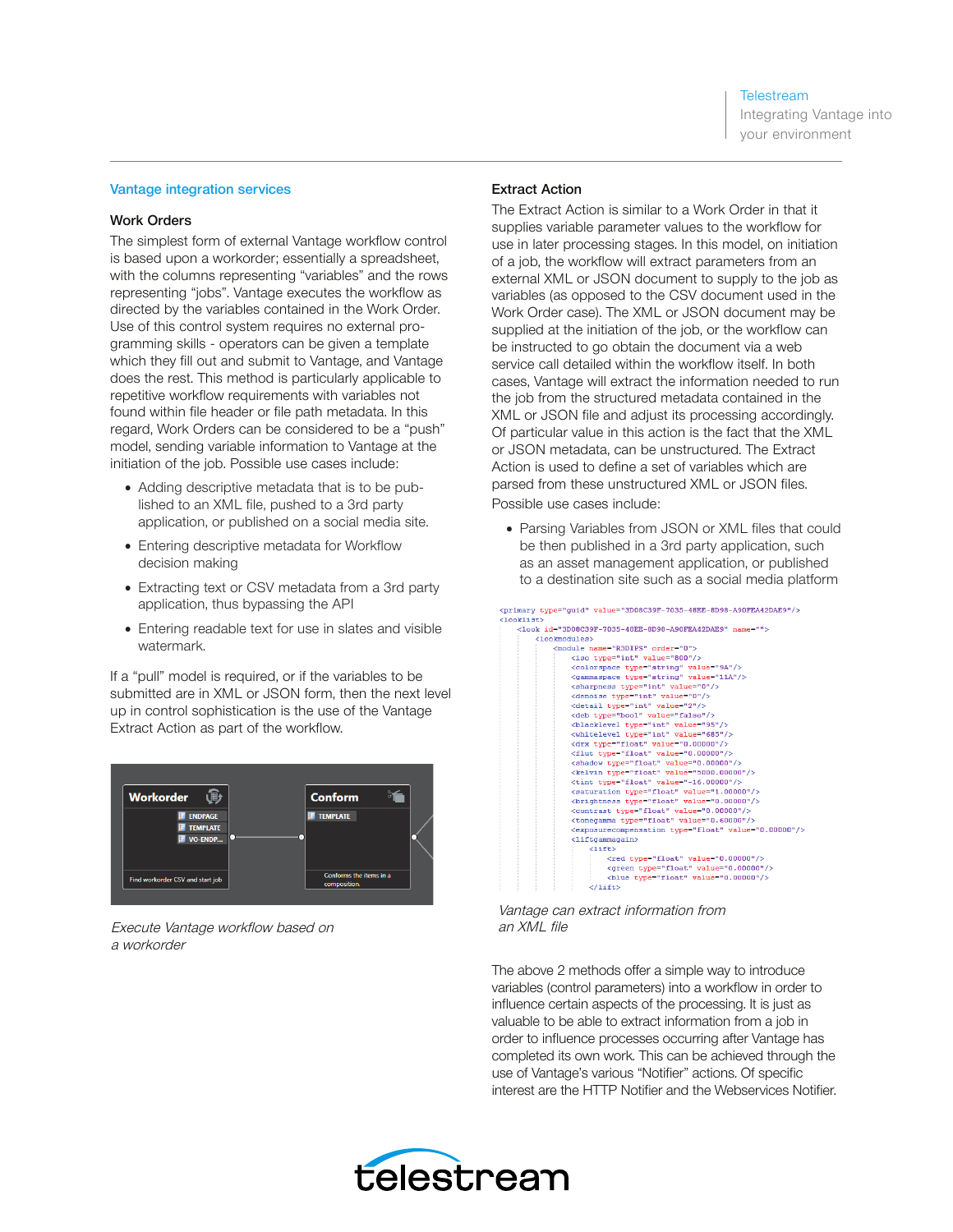Integrating Vantage into your environment

#### Vantage integration services

#### Work Orders

The simplest form of external Vantage workflow control is based upon a workorder; essentially a spreadsheet, with the columns representing "variables" and the rows representing "jobs". Vantage executes the workflow as directed by the variables contained in the Work Order. Use of this control system requires no external programming skills - operators can be given a template which they fill out and submit to Vantage, and Vantage does the rest. This method is particularly applicable to repetitive workflow requirements with variables not found within file header or file path metadata. In this regard, Work Orders can be considered to be a "push" model, sending variable information to Vantage at the initiation of the job. Possible use cases include:

- Adding descriptive metadata that is to be published to an XML file, pushed to a 3rd party application, or published on a social media site.
- Entering descriptive metadata for Workflow decision making
- Extracting text or CSV metadata from a 3rd party application, thus bypassing the API
- Entering readable text for use in slates and visible watermark.

If a "pull" model is required, or if the variables to be submitted are in XML or JSON form, then the next level up in control sophistication is the use of the Vantage Extract Action as part of the workflow.



Execute Vantage workflow based on an XML file a workorder

# Extract Action

The Extract Action is similar to a Work Order in that it supplies variable parameter values to the workflow for use in later processing stages. In this model, on initiation of a job, the workflow will extract parameters from an external XML or JSON document to supply to the job as variables (as opposed to the CSV document used in the Work Order case). The XML or JSON document may be supplied at the initiation of the job, or the workflow can be instructed to go obtain the document via a web service call detailed within the workflow itself. In both cases, Vantage will extract the information needed to run the job from the structured metadata contained in the XML or JSON file and adjust its processing accordingly. Of particular value in this action is the fact that the XML or JSON metadata, can be unstructured. The Extract Action is used to define a set of variables which are parsed from these unstructured XML or JSON files. Possible use cases include:

• Parsing Variables from JSON or XML files that could be then published in a 3rd party application, such as an asset management application, or published to a destination site such as a social media platform

"cuid" value="3D08C39F-7035-48EE-8D98-A90FEA42DAE9"/>

| <primary type="guid" value="3D08C39F-7035-48EE-8D98-A90FEA42DAE9"></primary> |
|------------------------------------------------------------------------------|
| <looklist></looklist>                                                        |
| <look id="3D08C39F-7035-48EE-8D98-A90FEA42DAE9" name=""></look>              |
| <lookmodules></lookmodules>                                                  |
| <module name="R3DIPS" order="0"></module>                                    |
| <iso type="int" value="800"></iso>                                           |
| <colorspace type="string" value="9A"></colorspace>                           |
| <gammaspace type="string" value="11A"></gammaspace>                          |
| <sharpness type="int" value="0"></sharpness>                                 |
| <denoise type="int" value="0"></denoise>                                     |
| <detail type="int" value="2"></detail>                                       |
| <deb type="bool" value="false"></deb>                                        |
| <blacklevel type="int" value="95"></blacklevel>                              |
| <whitelevel type="int" value="685"></whitelevel>                             |
| <drx type="float" value="0.00000"></drx>                                     |
| <flut type="float" value="0.00000"></flut>                                   |
| <shadow type="float" value="0.00000"></shadow>                               |
| <kelvin type="float" value="5000.00000"></kelvin>                            |
| <tint type="float" value="-16.00000"></tint>                                 |
| <saturation type="float" value="1.00000"></saturation>                       |
| <brightness type="float" value="0.00000"></brightness>                       |
| <contrast type="float" value="0.00000"></contrast>                           |
| <tonegamma type="float" value="0.60000"></tonegamma>                         |
| <exposurecompensation type="float" value="0.00000"></exposurecompensation>   |
| <liftgammagain></liftgammagain>                                              |
| $\langle$ 1ift>                                                              |
| <red type="float" value="0.00000"></red>                                     |
| <green type="float" value="0.00000"></green>                                 |
| <blue type="float" value="0.00000"></blue>                                   |
| $\langle$ /lift>                                                             |

Vantage can extract information from

The above 2 methods offer a simple way to introduce variables (control parameters) into a workflow in order to influence certain aspects of the processing. It is just as valuable to be able to extract information from a job in order to influence processes occurring after Vantage has completed its own work. This can be achieved through the use of Vantage's various "Notifier" actions. Of specific interest are the HTTP Notifier and the Webservices Notifier.

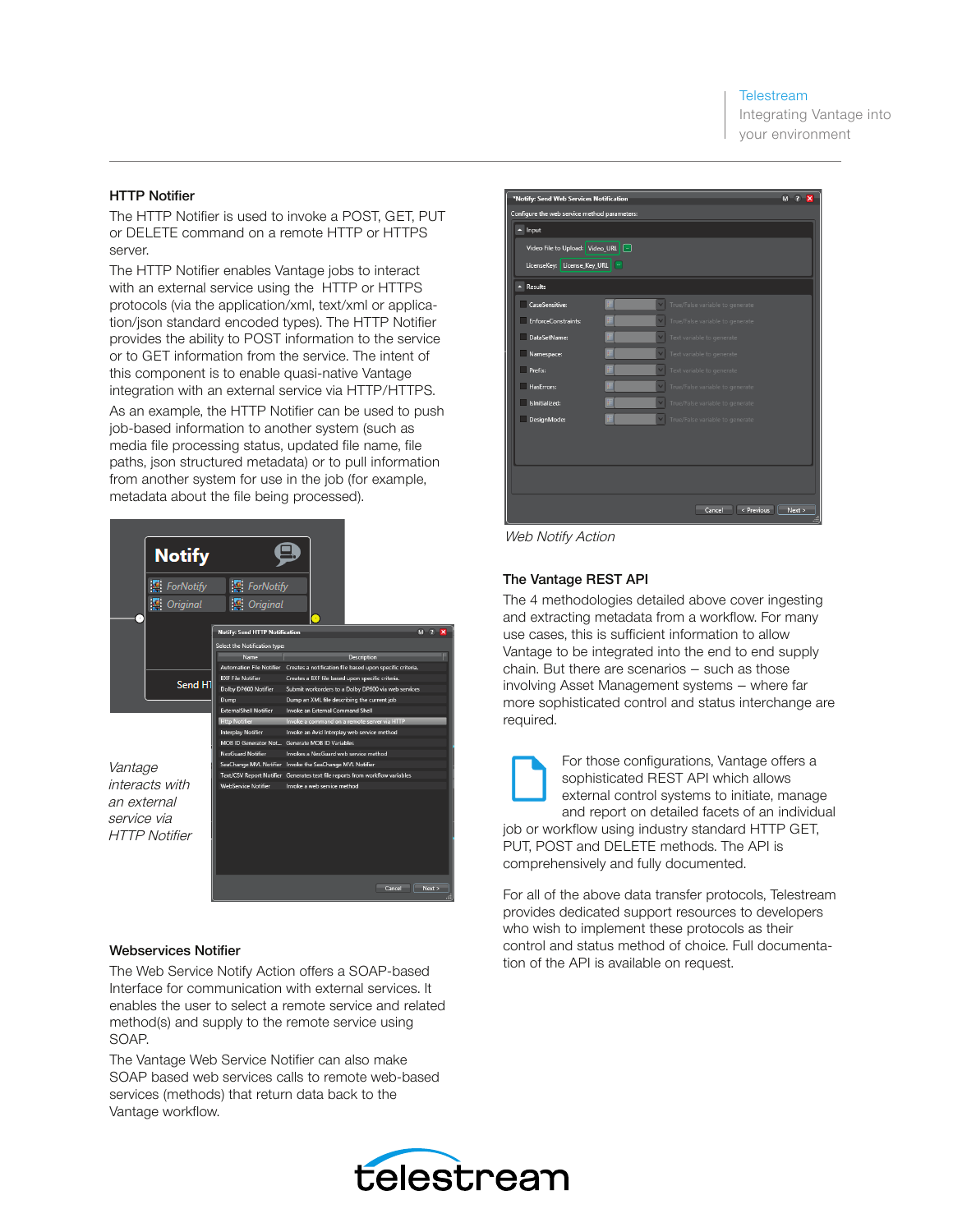Integrating Vantage into your environment

#### HTTP Notifier

The HTTP Notifier is used to invoke a POST, GET, PUT or DELETE command on a remote HTTP or HTTPS server.

The HTTP Notifier enables Vantage jobs to interact with an external service using the HTTP or HTTPS protocols (via the application/xml, text/xml or application/json standard encoded types). The HTTP Notifier provides the ability to POST information to the service or to GET information from the service. The intent of this component is to enable quasi-native Vantage integration with an external service via HTTP/HTTPS. As an example, the HTTP Notifier can be used to push job-based information to another system (such as media file processing status, updated file name, file paths, json structured metadata) or to pull information from another system for use in the job (for example, metadata about the file being processed).

|                                                    | <b>Notify</b><br>ForNotify<br><b>M</b> Original | <b>ForNotify</b><br><b>C</b> Original |                                                                              |             |           |
|----------------------------------------------------|-------------------------------------------------|---------------------------------------|------------------------------------------------------------------------------|-------------|-----------|
|                                                    |                                                 | <b>Notify: Send HTTP Notification</b> |                                                                              | м           |           |
|                                                    | Send HT                                         | Select the Notification type:         |                                                                              |             |           |
|                                                    |                                                 | Name                                  |                                                                              | Description |           |
|                                                    |                                                 | <b>Automation File Notifier</b>       | Creates a notification file based upon specific criteria.                    |             |           |
|                                                    |                                                 | <b>BXF File Notifier</b>              | Creates a BXF file based upon specific criteria.                             |             |           |
|                                                    |                                                 | Dolby DP600 Notifier                  | Submit workorders to a Dolby DP600 via web services                          |             |           |
|                                                    |                                                 | Dump                                  | Dump an XML file describing the current job                                  |             |           |
|                                                    |                                                 | <b>ExternalShell Notifier</b>         | Invoke an External Command Shell                                             |             |           |
| Vantage                                            |                                                 | <b>Http Notifier</b>                  | Invoke a command on a remote server via HTTP                                 |             |           |
|                                                    |                                                 | Interplay Notifier                    | Invoke an Avid Interplay web service method                                  |             |           |
|                                                    |                                                 | MOB ID Generator Not                  | Generate MOB ID Variables                                                    |             |           |
|                                                    |                                                 | NexGuard Notifier                     | Invokes a NexGuard web service method                                        |             |           |
|                                                    |                                                 |                                       | SeaChange MVL Notifier Invoke the SeaChange MVL Notifier                     |             |           |
|                                                    |                                                 |                                       | Text/CSV Report Notifier Generates text file reports from workflow variables |             |           |
| interacts with                                     |                                                 | <b>WebService Notifier</b>            | Invoke a web service method                                                  |             |           |
| an external<br>service via<br><b>HTTP Notifier</b> |                                                 |                                       |                                                                              |             |           |
|                                                    |                                                 |                                       |                                                                              | Cancel      | Next<br>圃 |

# Webservices Notifier

The Web Service Notify Action offers a SOAP-based Interface for communication with external services. It enables the user to select a remote service and related method(s) and supply to the remote service using SOAP.

The Vantage Web Service Notifier can also make SOAP based web services calls to remote web-based services (methods) that return data back to the Vantage workflow.



Web Notify Action

#### The Vantage REST API

The 4 methodologies detailed above cover ingesting and extracting metadata from a workflow. For many use cases, this is sufficient information to allow Vantage to be integrated into the end to end supply chain. But there are scenarios – such as those involving Asset Management systems – where far more sophisticated control and status interchange are required.



For those configurations, Vantage offers a sophisticated REST API which allows external control systems to initiate, manage and report on detailed facets of an individual

job or workflow using industry standard HTTP GET, PUT, POST and DELETE methods. The API is comprehensively and fully documented.

For all of the above data transfer protocols, Telestream provides dedicated support resources to developers who wish to implement these protocols as their control and status method of choice. Full documentation of the API is available on request.

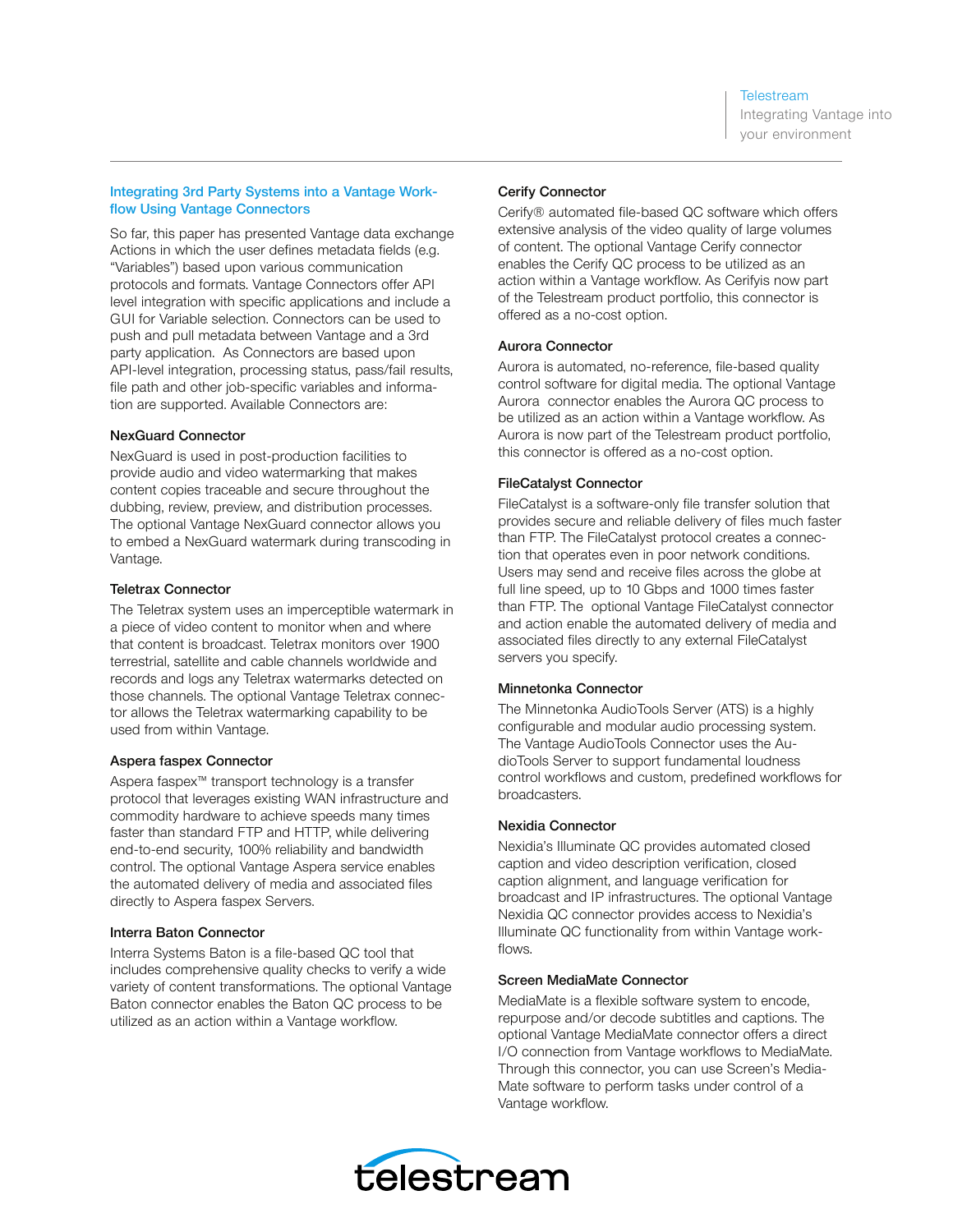Integrating Vantage into your environment

# Integrating 3rd Party Systems into a Vantage Workflow Using Vantage Connectors

So far, this paper has presented Vantage data exchange Actions in which the user defines metadata fields (e.g. "Variables") based upon various communication protocols and formats. Vantage Connectors offer API level integration with specific applications and include a GUI for Variable selection. Connectors can be used to push and pull metadata between Vantage and a 3rd party application. As Connectors are based upon API-level integration, processing status, pass/fail results, file path and other job-specific variables and information are supported. Available Connectors are:

#### NexGuard Connector

NexGuard is used in post-production facilities to provide audio and video watermarking that makes content copies traceable and secure throughout the dubbing, review, preview, and distribution processes. The optional Vantage NexGuard connector allows you to embed a NexGuard watermark during transcoding in Vantage.

#### Teletrax Connector

The Teletrax system uses an imperceptible watermark in a piece of video content to monitor when and where that content is broadcast. Teletrax monitors over 1900 terrestrial, satellite and cable channels worldwide and records and logs any Teletrax watermarks detected on those channels. The optional Vantage Teletrax connector allows the Teletrax watermarking capability to be used from within Vantage.

# Aspera faspex Connector

Aspera faspex™ transport technology is a transfer protocol that leverages existing WAN infrastructure and commodity hardware to achieve speeds many times faster than standard FTP and HTTP, while delivering end-to-end security, 100% reliability and bandwidth control. The optional Vantage Aspera service enables the automated delivery of media and associated files directly to Aspera faspex Servers.

# Interra Baton Connector

Interra Systems Baton is a file-based QC tool that includes comprehensive quality checks to verify a wide variety of content transformations. The optional Vantage Baton connector enables the Baton QC process to be utilized as an action within a Vantage workflow.

# Cerify Connector

Cerify® automated file-based QC software which offers extensive analysis of the video quality of large volumes of content. The optional Vantage Cerify connector enables the Cerify QC process to be utilized as an action within a Vantage workflow. As Cerifyis now part of the Telestream product portfolio, this connector is offered as a no-cost option.

# Aurora Connector

Aurora is automated, no-reference, file-based quality control software for digital media. The optional Vantage Aurora connector enables the Aurora QC process to be utilized as an action within a Vantage workflow. As Aurora is now part of the Telestream product portfolio, this connector is offered as a no-cost option.

# FileCatalyst Connector

FileCatalyst is a software-only file transfer solution that provides secure and reliable delivery of files much faster than FTP. The FileCatalyst protocol creates a connection that operates even in poor network conditions. Users may send and receive files across the globe at full line speed, up to 10 Gbps and 1000 times faster than FTP. The optional Vantage FileCatalyst connector and action enable the automated delivery of media and associated files directly to any external FileCatalyst servers you specify.

# Minnetonka Connector

The Minnetonka AudioTools Server (ATS) is a highly configurable and modular audio processing system. The Vantage AudioTools Connector uses the AudioTools Server to support fundamental loudness control workflows and custom, predefined workflows for broadcasters.

# Nexidia Connector

Nexidia's Illuminate QC provides automated closed caption and video description verification, closed caption alignment, and language verification for broadcast and IP infrastructures. The optional Vantage Nexidia QC connector provides access to Nexidia's Illuminate QC functionality from within Vantage workflows.

# Screen MediaMate Connector

MediaMate is a flexible software system to encode, repurpose and/or decode subtitles and captions. The optional Vantage MediaMate connector offers a direct I/O connection from Vantage workflows to MediaMate. Through this connector, you can use Screen's Media-Mate software to perform tasks under control of a Vantage workflow.